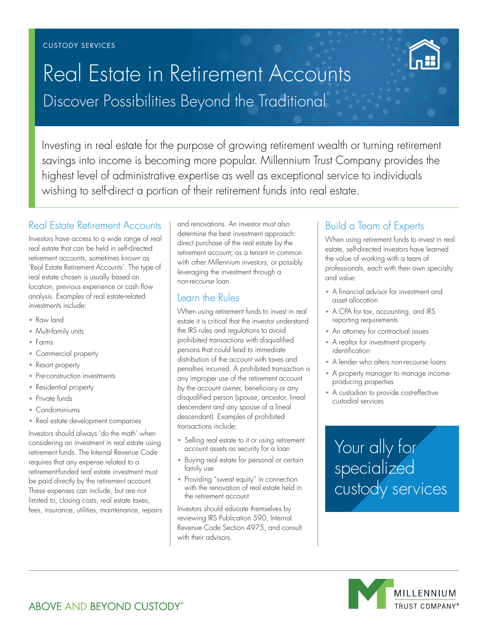# Discover Possibilities Beyond the Traditional Real Estate in Retirement Accounts

Investing in real estate for the purpose of growing retirement wealth or turning retirement savings into income is becoming more popular. Millennium Trust Company provides the highest level of administrative expertise as well as exceptional service to individuals wishing to self-direct a portion of their retirement funds into real estate.

## Real Estate Retirement Accounts

Investors have access to a wide range of real real estate that can be held in self-directed retirement accounts, sometimes known as 'Real Estate Retirement Accounts'. The type of real estate chosen is usually based on location, previous experience or cash flow analysis. Examples of real estate-related investments include:

- Raw land
- Multi-family units
- Farms
- Commercial property
- Resort property
- Pre-construction investments
- Residential property
- Private funds
- Condominiums
- Real estate development companies

Investors should always 'do the math' when considering an investment in real estate using retirement funds. The Internal Revenue Code requires that any expense related to a retirement-funded real estate investment must be paid directly by the retirement account. These expenses can include, but are not limited to, closing costs, real estate taxes, fees, insurance, utilities, maintenance, repairs and renovations. An investor must also determine the best investment approach: direct purchase of the real estate by the retirement account; as a tenant in common with other Millennium investors; or possibly leveraging the investment through a non-recourse loan.

### Learn the Rules

When using retirement funds to invest in real estate it is critical that the investor understand the IRS rules and regulations to avoid prohibited transactions with disqualified persons that could lead to immediate distribution of the account with taxes and penalties incurred. A prohibited transaction is any improper use of the retirement account by the account owner, beneficiary or any disqualified person (spouse, ancestor, lineal descendent and any spouse of a lineal descendant). Examples of prohibited transactions include:

- Selling real estate to it or using retirement account assets as security for a loan
- Buying real estate for personal or certain family use
- Providing "sweat equity" in connection with the renovation of real estate held in the retirement account

Investors should educate themselves by reviewing IRS Publication 590, Internal Revenue Code Section 4975, and consult with their advisors.

# Build a Team of Experts

When using retirement funds to invest in real estate, self-directed investors have learned the value of working with a team of professionals, each with their own specialty and value:

Commodities Real Assets Loans

- A financial advisor for investment and asset allocation
- A CPA for tax, accounting, and IRS reporting requirements
- $\bullet\,$  An attorney for contractual issues
- A realtor for investment property identification
- A lender who alters non-recourse loans
- A property manager to manage incomeproducing properties
- A custodian to provide cost-effective custodial services

 $S$ elect $\Gamma$ Your ally for specialized custody services